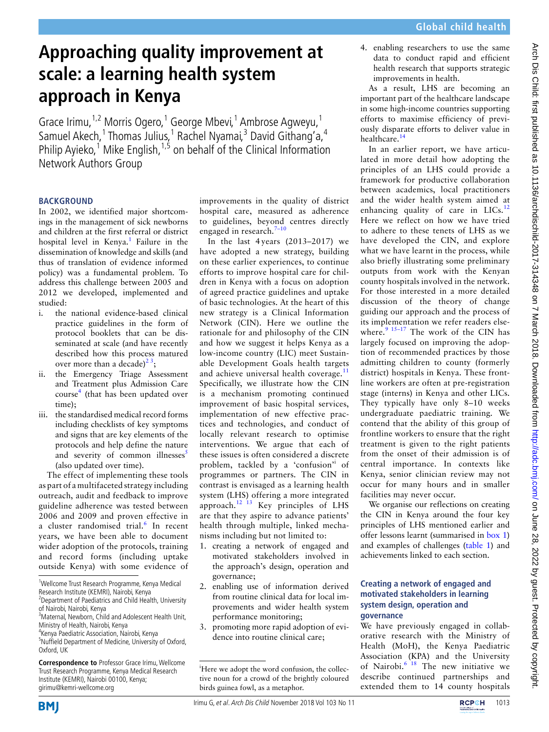# **Approaching quality improvement at scale: a learning health system approach in Kenya**

Grace Irimu,<sup>1,2</sup> Morris Ogero,<sup>1</sup> George Mbevi,<sup>1</sup> Ambrose Agweyu,<sup>1</sup> Samuel Akech,<sup>1</sup> Thomas Julius,<sup>1</sup> Rachel Nyamai,<sup>3</sup> David Githang'a,<sup>4</sup> Philip Ayieko,<sup>1</sup> Mike English,<sup>1,5</sup> on behalf of the Clinical Information Network Authors Group

#### **BACKGROUND**

In 2002, we identified major shortcomings in the management of sick newborns and children at the first referral or district hospital level in Kenya.<sup>1</sup> Failure in the dissemination of knowledge and skills (and thus of translation of evidence informed policy) was a fundamental problem. To address this challenge between 2005 and 2012 we developed, implemented and studied:

- i. the national evidence-based clinical practice guidelines in the form of protocol booklets that can be disseminated at scale (and have recently described how this process matured over more than a decade)<sup>23</sup>;
- ii. the Emergency Triage Assessment and Treatment plus Admission Care course<sup>4</sup> (that has been updated over time);
- iii. the standardised medical record forms including checklists of key symptoms and signs that are key elements of the protocols and help define the nature and severity of common illnesses<sup>5</sup> (also updated over time).

The effect of implementing these tools as part of a multifaceted strategy including outreach, audit and feedback to improve guideline adherence was tested between 2006 and 2009 and proven effective in a cluster randomised trial.<sup>6</sup> In recent years, we have been able to document wider adoption of the protocols, training and record forms (including uptake outside Kenya) with some evidence of

<sup>1</sup>Wellcome Trust Research Programme, Kenya Medical Research Institute (KEMRI), Nairobi, Kenya

4 Kenya Paediatric Association, Nairobi, Kenya

improvements in the quality of district hospital care, measured as adherence to guidelines, beyond centres directly engaged in research.<sup>7-10</sup>

In the last 4 years (2013–2017) we have adopted a new strategy, building on these earlier experiences, to continue efforts to improve hospital care for children in Kenya with a focus on adoption of agreed practice guidelines and uptake of basic technologies. At the heart of this new strategy is a Clinical Information Network (CIN). Here we outline the rationale for and philosophy of the CIN and how we suggest it helps Kenya as a low-income country (LIC) meet Sustainable Development Goals health targets and achieve universal health coverage. $11$ Specifically, we illustrate how the CIN is a mechanism promoting continued improvement of basic hospital services, implementation of new effective practices and technologies, and conduct of locally relevant research to optimise interventions. We argue that each of these issues is often considered a discrete problem, tackled by a 'confusion'<sup>i</sup> of programmes or partners. The CIN in contrast is envisaged as a learning health system (LHS) offering a more integrated approach.<sup>12 13</sup> Key principles of LHS are that they aspire to advance patients' health through multiple, linked mechanisms including but not limited to:

- 1. creating a network of engaged and motivated stakeholders involved in the approach's design, operation and governance;
- 2. enabling use of information derived from routine clinical data for local improvements and wider health system performance monitoring;
- 3. promoting more rapid adoption of evidence into routine clinical care;

4. enabling researchers to use the same data to conduct rapid and efficient health research that supports strategic improvements in health.

As a result, LHS are becoming an important part of the healthcare landscape in some high-income countries supporting efforts to maximise efficiency of previously disparate efforts to deliver value in healthcare.14

In an earlier report, we have articulated in more detail how adopting the principles of an LHS could provide a framework for productive collaboration between academics, local practitioners and the wider health system aimed at enhancing quality of care in  $LICs$ <sup>12</sup> Here we reflect on how we have tried to adhere to these tenets of LHS as we have developed the CIN, and explore what we have learnt in the process, while also briefly illustrating some preliminary outputs from work with the Kenyan county hospitals involved in the network. For those interested in a more detailed discussion of the theory of change guiding our approach and the process of its implementation we refer readers elsewhere. $9^{15-17}$  The work of the CIN has largely focused on improving the adoption of recommended practices by those admitting children to county (formerly district) hospitals in Kenya. These frontline workers are often at pre-registration stage (interns) in Kenya and other LICs. They typically have only 8–10 weeks undergraduate paediatric training. We contend that the ability of this group of frontline workers to ensure that the right treatment is given to the right patients from the onset of their admission is of central importance. In contexts like Kenya, senior clinician review may not occur for many hours and in smaller facilities may never occur.

We organise our reflections on creating the CIN in Kenya around the four key principles of LHS mentioned earlier and offer lessons learnt (summarised in box 1) and examples of challenges (table 1) and achievements linked to each section.

#### **Creating a network of engaged and motivated stakeholders in learning system design, operation and governance**

We have previously engaged in collaborative research with the Ministry of Health (MoH), the Kenya Paediatric Association (KPA) and the University of Nairobi.<sup>6 18</sup> The new initiative we describe continued partnerships and extended them to 14 county hospitals





<sup>&</sup>lt;sup>2</sup> Department of Paediatrics and Child Health, University of Nairobi, Nairobi, Kenya

<sup>&</sup>lt;sup>3</sup> Maternal, Newborn, Child and Adolescent Health Unit, Ministry of Health, Nairobi, Kenya

<sup>&</sup>lt;sup>5</sup>Nuffield Department of Medicine, University of Oxford, Oxford, UK

**Correspondence to** Professor Grace Irimu, Wellcome Trust Research Programme, Kenya Medical Research Institute (KEMRI), Nairobi 00100, Kenya; girimu@kemri-wellcome.org

<sup>&</sup>lt;sup>i</sup>Here we adopt the word confusion, the collective noun for a crowd of the brightly coloured birds guinea fowl, as a metaphor.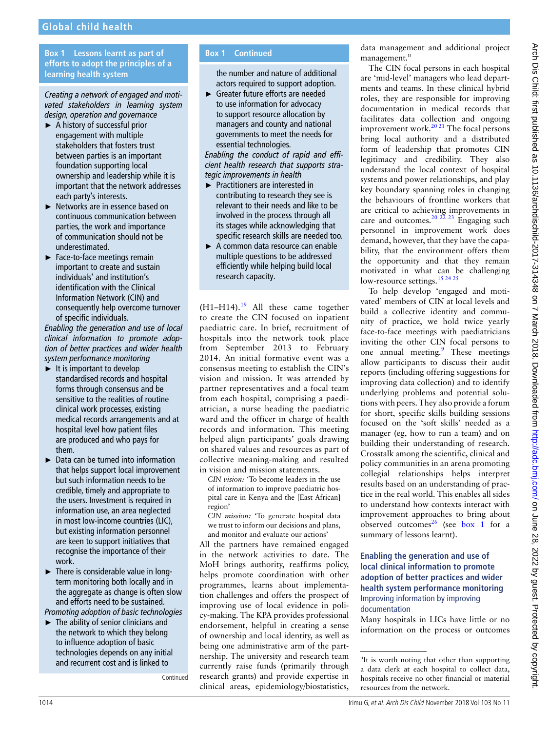# **Global child health**

### **Box 1 Lessons learnt as part of efforts to adopt the principles of a learning health system**

*Creating a network of engaged and motivated stakeholders in learning system design, operation and governance*

- ► A history of successful prior engagement with multiple stakeholders that fosters trust between parties is an important foundation supporting local ownership and leadership while it is important that the network addresses each party's interests.
- ► Networks are in essence based on continuous communication between parties, the work and importance of communication should not be underestimated.
- ► Face-to-face meetings remain important to create and sustain individuals' and institution's identification with the Clinical Information Network (CIN) and consequently help overcome turnover of specific individuals.

*Enabling the generation and use of local clinical information to promote adoption of better practices and wider health system performance monitoring*

- $\blacktriangleright$  It is important to develop standardised records and hospital forms through consensus and be sensitive to the realities of routine clinical work processes, existing medical records arrangements and at hospital level how patient files are produced and who pays for them.
- ► Data can be turned into information that helps support local improvement but such information needs to be credible, timely and appropriate to the users. Investment is required in information use, an area neglected in most low-income countries (LIC), but existing information personnel are keen to support initiatives that recognise the importance of their work.
- ► There is considerable value in longterm monitoring both locally and in the aggregate as change is often slow and efforts need to be sustained.

*Promoting adoption of basic technologies*

► The ability of senior clinicians and the network to which they belong to influence adoption of basic technologies depends on any initial and recurrent cost and is linked to

Continued

## **Box 1 Continued**

the number and nature of additional actors required to support adoption.

► Greater future efforts are needed to use information for advocacy to support resource allocation by managers and county and national governments to meet the needs for essential technologies.

*Enabling the conduct of rapid and efficient health research that supports strategic improvements in health*

- ► Practitioners are interested in contributing to research they see is relevant to their needs and like to be involved in the process through all its stages while acknowledging that specific research skills are needed too.
- ► A common data resource can enable multiple questions to be addressed efficiently while helping build local research capacity.

(H1-H14).<sup>19</sup> All these came together to create the CIN focused on inpatient paediatric care. In brief, recruitment of hospitals into the network took place from September 2013 to February 2014. An initial formative event was a consensus meeting to establish the CIN's vision and mission. It was attended by partner representatives and a focal team from each hospital, comprising a paediatrician, a nurse heading the paediatric ward and the officer in charge of health records and information. This meeting helped align participants' goals drawing on shared values and resources as part of collective meaning-making and resulted in vision and mission statements.

*CIN vision:* 'To become leaders in the use of information to improve paediatric hospital care in Kenya and the [East African] region'

*CIN mission:* 'To generate hospital data we trust to inform our decisions and plans, and monitor and evaluate our actions'

All the partners have remained engaged in the network activities to date. The MoH brings authority, reaffirms policy, helps promote coordination with other programmes, learns about implementation challenges and offers the prospect of improving use of local evidence in policy-making. The KPA provides professional endorsement, helpful in creating a sense of ownership and local identity, as well as being one administrative arm of the partnership. The university and research team currently raise funds (primarily through research grants) and provide expertise in clinical areas, epidemiology/biostatistics,

data management and additional project management.<sup>ii</sup>

The CIN focal persons in each hospital are 'mid-level' managers who lead departments and teams. In these clinical hybrid roles, they are responsible for improving documentation in medical records that facilitates data collection and ongoing improvement work.<sup>20 21</sup> The focal persons bring local authority and a distributed form of leadership that promotes CIN legitimacy and credibility. They also understand the local context of hospital systems and power relationships, and play key boundary spanning roles in changing the behaviours of frontline workers that are critical to achieving improvements in care and outcomes. $20$   $22$   $23$  Engaging such personnel in improvement work does demand, however, that they have the capability, that the environment offers them the opportunity and that they remain motivated in what can be challenging low-resource settings.<sup>15 24 25</sup>

To help develop 'engaged and motivated' members of CIN at local levels and build a collective identity and community of practice, we hold twice yearly face-to-face meetings with paediatricians inviting the other CIN focal persons to one annual meeting.<sup>9</sup> These meetings allow participants to discuss their audit reports (including offering suggestions for improving data collection) and to identify underlying problems and potential solutions with peers. They also provide a forum for short, specific skills building sessions focused on the 'soft skills' needed as a manager (eg, how to run a team) and on building their understanding of research. Crosstalk among the scientific, clinical and policy communities in an arena promoting collegial relationships helps interpret results based on an understanding of practice in the real world. This enables all sides to understand how contexts interact with improvement approaches to bring about observed outcomes<sup>26</sup> (see box 1 for a summary of lessons learnt).

#### **Enabling the generation and use of local clinical information to promote adoption of better practices and wider health system performance monitoring** Improving information by improving documentation

Many hospitals in LICs have little or no information on the process or outcomes

i<sup>i</sup>It is worth noting that other than supporting a data clerk at each hospital to collect data, hospitals receive no other financial or material resources from the network.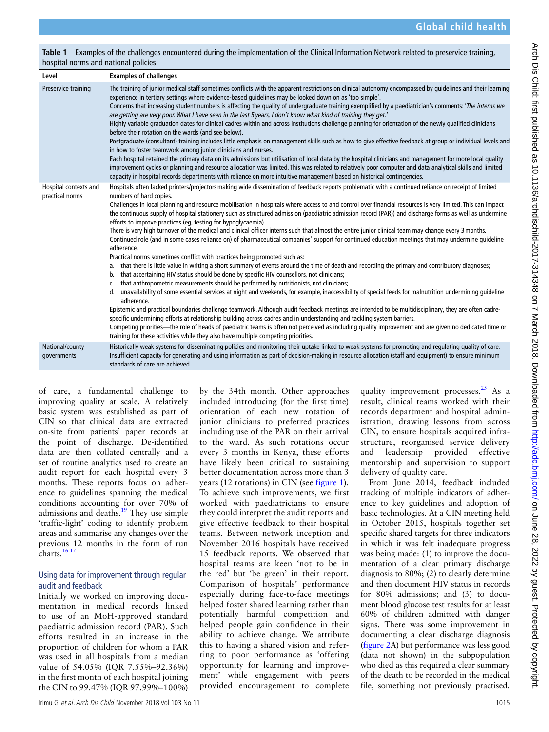**Table 1** Examples of the challenges encountered during the implementation of the Clinical Information Network related to preservice training, hospital norms and national policies

| Level                                    | <b>Examples of challenges</b>                                                                                                                                                                                                                                                                                                                                                                                                                                                                                                                                                                                                                                                                                                                                                                                                                                                                                                                                                                                                                                                                                                                                                                                                                                                                                                                                                                                                                                                                                                                                                                                                                                                                                                                                                                                                                                                                                                                                                                                                                  |
|------------------------------------------|------------------------------------------------------------------------------------------------------------------------------------------------------------------------------------------------------------------------------------------------------------------------------------------------------------------------------------------------------------------------------------------------------------------------------------------------------------------------------------------------------------------------------------------------------------------------------------------------------------------------------------------------------------------------------------------------------------------------------------------------------------------------------------------------------------------------------------------------------------------------------------------------------------------------------------------------------------------------------------------------------------------------------------------------------------------------------------------------------------------------------------------------------------------------------------------------------------------------------------------------------------------------------------------------------------------------------------------------------------------------------------------------------------------------------------------------------------------------------------------------------------------------------------------------------------------------------------------------------------------------------------------------------------------------------------------------------------------------------------------------------------------------------------------------------------------------------------------------------------------------------------------------------------------------------------------------------------------------------------------------------------------------------------------------|
| Preservice training                      | The training of junior medical staff sometimes conflicts with the apparent restrictions on clinical autonomy encompassed by quidelines and their learning<br>experience in tertiary settings where evidence-based quidelines may be looked down on as 'too simple'.<br>Concerns that increasing student numbers is affecting the quality of undergraduate training exemplified by a paediatrician's comments: 'The interns we<br>are getting are very poor. What I have seen in the last 5 years, I don't know what kind of training they get.'<br>Highly variable graduation dates for clinical cadres within and across institutions challenge planning for orientation of the newly qualified clinicians<br>before their rotation on the wards (and see below).<br>Postgraduate (consultant) training includes little emphasis on management skills such as how to give effective feedback at group or individual levels and<br>in how to foster teamwork among junior clinicians and nurses.<br>Each hospital retained the primary data on its admissions but utilisation of local data by the hospital clinicians and management for more local quality<br>improvement cycles or planning and resource allocation was limited. This was related to relatively poor computer and data analytical skills and limited<br>capacity in hospital records departments with reliance on more intuitive management based on historical contingencies.                                                                                                                                                                                                                                                                                                                                                                                                                                                                                                                                                                                              |
| Hospital contexts and<br>practical norms | Hospitals often lacked printers/projectors making wide dissemination of feedback reports problematic with a continued reliance on receipt of limited<br>numbers of hard copies.<br>Challenges in local planning and resource mobilisation in hospitals where access to and control over financial resources is very limited. This can impact<br>the continuous supply of hospital stationery such as structured admission (paediatric admission record (PAR)) and discharge forms as well as undermine<br>efforts to improve practices (eq, testing for hypoglycaemia).<br>There is very high turnover of the medical and clinical officer interns such that almost the entire junior clinical team may change every 3 months.<br>Continued role (and in some cases reliance on) of pharmaceutical companies' support for continued education meetings that may undermine quideline<br>adherence.<br>Practical norms sometimes conflict with practices being promoted such as:<br>a. that there is little value in writing a short summary of events around the time of death and recording the primary and contributory diagnoses;<br>that ascertaining HIV status should be done by specific HIV counsellors, not clinicians;<br>b.<br>that anthropometric measurements should be performed by nutritionists, not clinicians;<br>c.<br>d. unavailability of some essential services at night and weekends, for example, inaccessibility of special feeds for malnutrition undermining quideline<br>adherence.<br>Epistemic and practical boundaries challenge teamwork. Although audit feedback meetings are intended to be multidisciplinary, they are often cadre-<br>specific undermining efforts at relationship building across cadres and in understanding and tackling system barriers.<br>Competing priorities—the role of heads of paediatric teams is often not perceived as including quality improvement and are given no dedicated time or<br>training for these activities while they also have multiple competing priorities. |
| National/county<br>governments           | Historically weak systems for disseminating policies and monitoring their uptake linked to weak systems for promoting and regulating quality of care.<br>Insufficient capacity for generating and using information as part of decision-making in resource allocation (staff and equipment) to ensure minimum<br>standards of care are achieved.                                                                                                                                                                                                                                                                                                                                                                                                                                                                                                                                                                                                                                                                                                                                                                                                                                                                                                                                                                                                                                                                                                                                                                                                                                                                                                                                                                                                                                                                                                                                                                                                                                                                                               |

of care, a fundamental challenge to improving quality at scale. A relatively basic system was established as part of CIN so that clinical data are extracted on-site from patients' paper records at the point of discharge. De-identified data are then collated centrally and a set of routine analytics used to create an audit report for each hospital every 3 months. These reports focus on adherence to guidelines spanning the medical conditions accounting for over 70% of admissions and deaths.<sup>19</sup> They use simple 'traffic-light' coding to identify problem areas and summarise any changes over the previous 12 months in the form of run charts. $1617$ 

#### Using data for improvement through regular audit and feedback

Initially we worked on improving documentation in medical records linked to use of an MoH-approved standard paediatric admission record (PAR). Such efforts resulted in an increase in the proportion of children for whom a PAR was used in all hospitals from a median value of 54.05% (IQR 7.55%–92.36%) in the first month of each hospital joining the CIN to 99.47% (IQR 97.99%–100%) by the 34th month. Other approaches included introducing (for the first time) orientation of each new rotation of junior clinicians to preferred practices including use of the PAR on their arrival to the ward. As such rotations occur every 3 months in Kenya, these efforts have likely been critical to sustaining better documentation across more than 3 years (12 rotations) in CIN (see figure 1). To achieve such improvements, we first worked with paediatricians to ensure they could interpret the audit reports and give effective feedback to their hospital teams. Between network inception and November 2016 hospitals have received 15 feedback reports. We observed that hospital teams are keen 'not to be in the red' but 'be green' in their report. Comparison of hospitals' performance especially during face-to-face meetings helped foster shared learning rather than potentially harmful competition and helped people gain confidence in their ability to achieve change. We attribute this to having a shared vision and referring to poor performance as 'offering opportunity for learning and improvement' while engagement with peers provided encouragement to complete quality improvement processes. $25$  As a result, clinical teams worked with their records department and hospital administration, drawing lessons from across CIN, to ensure hospitals acquired infrastructure, reorganised service delivery and leadership provided effective mentorship and supervision to support delivery of quality care.

From June 2014, feedback included tracking of multiple indicators of adherence to key guidelines and adoption of basic technologies. At a CIN meeting held in October 2015, hospitals together set specific shared targets for three indicators in which it was felt inadequate progress was being made: (1) to improve the documentation of a clear primary discharge diagnosis to 80%; (2) to clearly determine and then document HIV status in records for 80% admissions; and (3) to document blood glucose test results for at least 60% of children admitted with danger signs. There was some improvement in documenting a clear discharge diagnosis (figure 2A) but performance was less good (data not shown) in the subpopulation who died as this required a clear summary of the death to be recorded in the medical file, something not previously practised.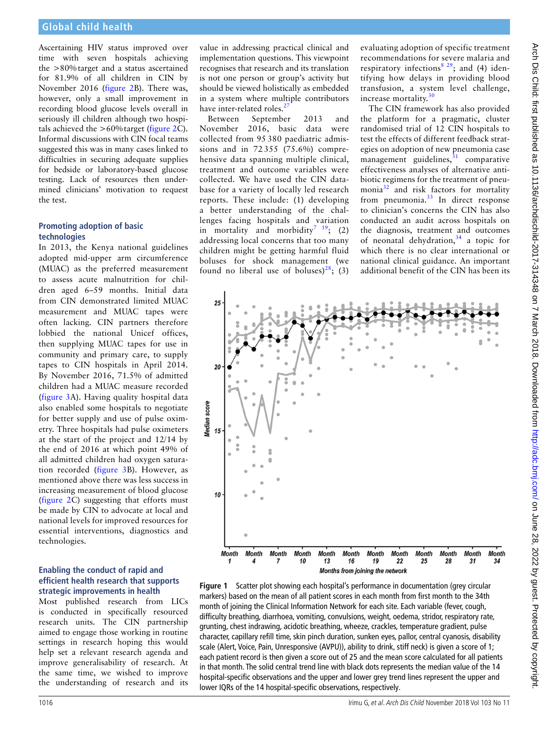Ascertaining HIV status improved over time with seven hospitals achieving the >80%target and a status ascertained for 81.9% of all children in CIN by November 2016 (figure 2B). There was, however, only a small improvement in recording blood glucose levels overall in seriously ill children although two hospitals achieved the  $>60\%$  target (figure 2C). Informal discussions with CIN focal teams suggested this was in many cases linked to difficulties in securing adequate supplies for bedside or laboratory-based glucose testing. Lack of resources then undermined clinicians' motivation to request the test.

#### **Promoting adoption of basic technologies**

In 2013, the Kenya national guidelines adopted mid-upper arm circumference (MUAC) as the preferred measurement to assess acute malnutrition for children aged 6–59 months. Initial data from CIN demonstrated limited MUAC measurement and MUAC tapes were often lacking. CIN partners therefore lobbied the national Unicef offices, then supplying MUAC tapes for use in community and primary care, to supply tapes to CIN hospitals in April 2014. By November 2016, 71.5% of admitted children had a MUAC measure recorded (figure 3A). Having quality hospital data also enabled some hospitals to negotiate for better supply and use of pulse oximetry. Three hospitals had pulse oximeters at the start of the project and 12/14 by the end of 2016 at which point 49% of all admitted children had oxygen saturation recorded (figure 3B). However, as mentioned above there was less success in increasing measurement of blood glucose (figure 2C) suggesting that efforts must be made by CIN to advocate at local and national levels for improved resources for essential interventions, diagnostics and technologies.

#### **Enabling the conduct of rapid and efficient health research that supports strategic improvements in health**

Most published research from LICs is conducted in specifically resourced research units. The CIN partnership aimed to engage those working in routine settings in research hoping this would help set a relevant research agenda and improve generalisability of research. At the same time, we wished to improve the understanding of research and its

value in addressing practical clinical and implementation questions. This viewpoint recognises that research and its translation is not one person or group's activity but should be viewed holistically as embedded in a system where multiple contributors have inter-related roles.<sup>2</sup>

Between September 2013 and November 2016, basic data were collected from 95 380 paediatric admissions and in 72 355 (75.6%) comprehensive data spanning multiple clinical, treatment and outcome variables were collected. We have used the CIN database for a variety of locally led research reports. These include: (1) developing a better understanding of the challenges facing hospitals and variation in mortality and morbidity<sup>7</sup>  $19$ ; (2) addressing local concerns that too many children might be getting harmful fluid boluses for shock management (we found no liberal use of boluses)<sup>28</sup>; (3) evaluating adoption of specific treatment recommendations for severe malaria and respiratory infections<sup>8</sup><sup>29</sup>; and (4) identifying how delays in providing blood transfusion, a system level challenge, increase mortality. $3<sup>3</sup>$ 

The CIN framework has also provided the platform for a pragmatic, cluster randomised trial of 12 CIN hospitals to test the effects of different feedback strategies on adoption of new pneumonia case management guidelines, $31$  comparative effectiveness analyses of alternative antibiotic regimens for the treatment of pneumonia<sup>32</sup> and risk factors for mortality from pneumonia.<sup>33</sup> In direct response to clinician's concerns the CIN has also conducted an audit across hospitals on the diagnosis, treatment and outcomes of neonatal dehydration, $34$  a topic for which there is no clear international or national clinical guidance. An important additional benefit of the CIN has been its



**Figure 1** Scatter plot showing each hospital's performance in documentation (grey circular markers) based on the mean of all patient scores in each month from first month to the 34th month of joining the Clinical Information Network for each site. Each variable (fever, cough, difficulty breathing, diarrhoea, vomiting, convulsions, weight, oedema, stridor, respiratory rate, grunting, chest indrawing, acidotic breathing, wheeze, crackles, temperature gradient, pulse character, capillary refill time, skin pinch duration, sunken eyes, pallor, central cyanosis, disability scale (Alert, Voice, Pain, Unresponsive (AVPU)), ability to drink, stiff neck) is given a score of 1; each patient record is then given a score out of 25 and the mean score calculated for all patients in that month. The solid central trend line with black dots represents the median value of the 14 hospital-specific observations and the upper and lower grey trend lines represent the upper and lower IQRs of the 14 hospital-specific observations, respectively.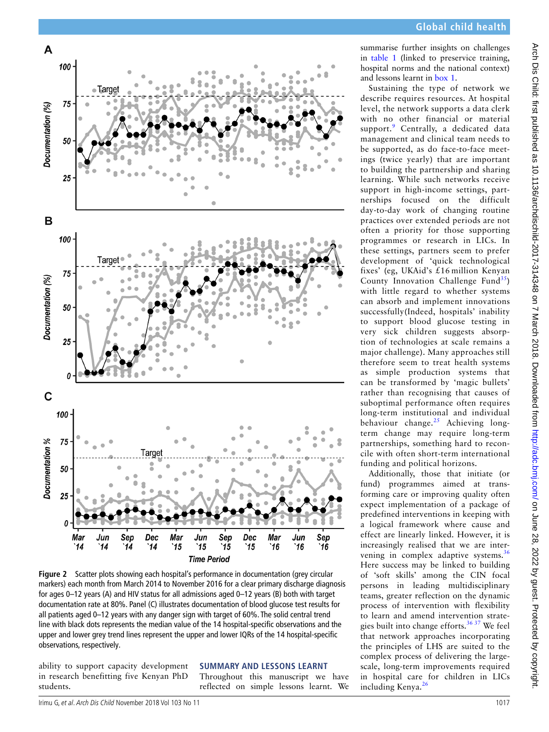

**Figure 2** Scatter plots showing each hospital's performance in documentation (grey circular markers) each month from March 2014 to November 2016 for a clear primary discharge diagnosis for ages 0–12 years (A) and HIV status for all admissions aged 0–12 years (B) both with target documentation rate at 80%. Panel (C) illustrates documentation of blood glucose test results for all patients aged 0–12 years with any danger sign with target of 60%. The solid central trend line with black dots represents the median value of the 14 hospital-specific observations and the upper and lower grey trend lines represent the upper and lower IQRs of the 14 hospital-specific observations, respectively.

ability to support capacity development in research benefitting five Kenyan PhD students.

**SUMMARY AND LESSONS LEARNT**

Throughout this manuscript we have reflected on simple lessons learnt. We summarise further insights on challenges in table 1 (linked to preservice training, hospital norms and the national context) and lessons learnt in box 1.

Sustaining the type of network we describe requires resources. At hospital level, the network supports a data clerk with no other financial or material support.<sup>9</sup> Centrally, a dedicated data management and clinical team needs to be supported, as do face-to-face meetings (twice yearly) that are important to building the partnership and sharing learning. While such networks receive support in high-income settings, partnerships focused on the difficult day-to-day work of changing routine practices over extended periods are not often a priority for those supporting programmes or research in LICs. In these settings, partners seem to prefer development of 'quick technological fixes' (eg, UKAid's £16 million Kenyan County Innovation Challenge Fund<sup>35</sup>) with little regard to whether systems can absorb and implement innovations successfully(Indeed, hospitals' inability to support blood glucose testing in very sick children suggests absorption of technologies at scale remains a major challenge). Many approaches still therefore seem to treat health systems as simple production systems that can be transformed by 'magic bullets' rather than recognising that causes of suboptimal performance often requires long-term institutional and individual behaviour change. $^{25}$  Achieving longterm change may require long-term partnerships, something hard to reconcile with often short-term international funding and political horizons.

Additionally, those that initiate (or fund) programmes aimed at transforming care or improving quality often expect implementation of a package of predefined interventions in keeping with a logical framework where cause and effect are linearly linked. However, it is increasingly realised that we are intervening in complex adaptive systems.<sup>36</sup> Here success may be linked to building of 'soft skills' among the CIN focal persons in leading multidisciplinary teams, greater reflection on the dynamic process of intervention with flexibility to learn and amend intervention strategies built into change efforts.<sup>36 37</sup> We feel that network approaches incorporating the principles of LHS are suited to the complex process of delivering the largescale, long-term improvements required in hospital care for children in LICs including Kenya.<sup>26</sup>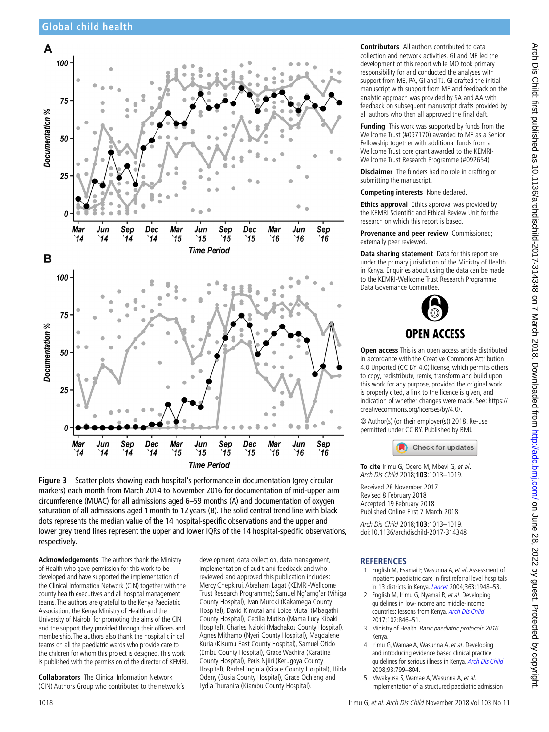

**Figure 3** Scatter plots showing each hospital's performance in documentation (grey circular markers) each month from March 2014 to November 2016 for documentation of mid-upper arm circumference (MUAC) for all admissions aged 6–59 months (A) and documentation of oxygen saturation of all admissions aged 1month to 12 years (B). The solid central trend line with black dots represents the median value of the 14 hospital-specific observations and the upper and lower grey trend lines represent the upper and lower IQRs of the 14 hospital-specific observations, respectively.

**Acknowledgements** The authors thank the Ministry of Health who gave permission for this work to be developed and have supported the implementation of the Clinical Information Network (CIN) together with the county health executives and all hospital management teams. The authors are grateful to the Kenya Paediatric Association, the Kenya Ministry of Health and the University of Nairobi for promoting the aims of the CIN and the support they provided through their officers and membership. The authors also thank the hospital clinical teams on all the paediatric wards who provide care to the children for whom this project is designed. This work is published with the permission of the director of KEMRI.

**Collaborators** The Clinical Information Network (CIN) Authors Group who contributed to the network's development, data collection, data management, implementation of audit and feedback and who reviewed and approved this publication includes: Mercy Chepkirui, Abraham Lagat (KEMRI-Wellcome Trust Research Programme); Samuel Ng'arng'ar (Vihiga County Hospital), Ivan Muroki (Kakamega County Hospital), David Kimutai and Loice Mutai (Mbagathi County Hospital), Cecilia Mutiso (Mama Lucy Kibaki Hospital), Charles Nzioki (Machakos County Hospital), Agnes Mithamo (Nyeri County Hospital), Magdalene Kuria (Kisumu East County Hospital), Samuel Otido (Embu County Hospital), Grace Wachira (Karatina County Hospital), Peris Njiiri (Kerugoya County Hospital), Rachel Inginia (Kitale County Hospital), Hilda Odeny (Busia County Hospital), Grace Ochieng and Lydia Thuranira (Kiambu County Hospital).

**Contributors** All authors contributed to data collection and network activities. GI and ME led the development of this report while MO took primary responsibility for and conducted the analyses with support from ME, PA, GI and TJ. GI drafted the initial manuscript with support from ME and feedback on the analytic approach was provided by SA and AA with feedback on subsequent manuscript drafts provided by all authors who then all approved the final daft.

**Funding** This work was supported by funds from the Wellcome Trust (#097170) awarded to ME as a Senior Fellowship together with additional funds from a Wellcome Trust core grant awarded to the KEMRI-Wellcome Trust Research Programme (#092654).

**Disclaimer** The funders had no role in drafting or submitting the manuscript.

**Competing interests** None declared.

**Ethics approval** Ethics approval was provided by the KEMRI Scientific and Ethical Review Unit for the research on which this report is based.

**Provenance and peer review** Commissioned; externally peer reviewed.

**Data sharing statement** Data for this report are under the primary jurisdiction of the Ministry of Health in Kenya. Enquiries about using the data can be made to the KEMRI-Wellcome Trust Research Programme Data Governance Committee.



**Open access** This is an open access article distributed in accordance with the Creative Commons Attribution 4.0 Unported (CC BY 4.0) license, which permits others to copy, redistribute, remix, transform and build upon this work for any purpose, provided the original work is properly cited, a link to the licence is given, and indication of whether changes were made. See: https:// creativecommons.org/licenses/by/4.0/.

© Author(s) (or their employer(s)) 2018. Re-use permitted under CC BY. Published by BMJ.



**To cite** Irimu G, Ogero M, Mbevi G, et al. Arch Dis Child 2018;**103**:1013–1019.

Received 28 November 2017 Revised 8 February 2018 Accepted 19 February 2018 Published Online First 7 March 2018

Arch Dis Child 2018;**103**:1013–1019. doi:10.1136/archdischild-2017-314348

### **REFERENCES**

- 1 English M, Esamai F, Wasunna A, et al. Assessment of inpatient paediatric care in first referral level hospitals in 13 districts in Kenya. *Lancet* 2004;363:1948-53.
- 2 English M, Irimu G, Nyamai R, et al. Developing guidelines in low-income and middle-income countries: lessons from Kenya. Arch Dis Child 2017;102:846–51.
- 3 Ministry of Health. Basic paediatric protocols 2016. Kenya.
- 4 Irimu G, Wamae A, Wasunna A, et al. Developing and introducing evidence based clinical practice guidelines for serious illness in Kenya. Arch Dis Child 2008;93:799–804.
- 5 Mwakyusa S, Wamae A, Wasunna A, et al. Implementation of a structured paediatric admission